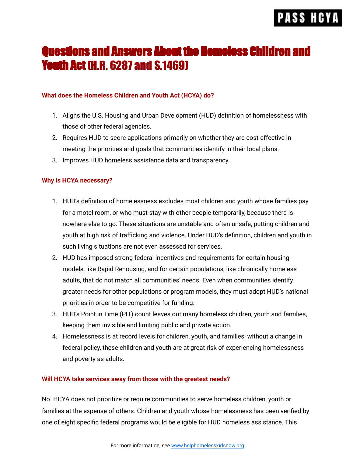# **PASS HCY**

## Questions and Answers About the Homeless Children and **Youth Act (H.R. 6287 and S.1469)**

### **What does the Homeless Children and Youth Act (HCYA) do?**

- 1. Aligns the U.S. Housing and Urban Development (HUD) definition of homelessness with those of other federal agencies.
- 2. Requires HUD to score applications primarily on whether they are cost-effective in meeting the priorities and goals that communities identify in their local plans.
- 3. Improves HUD homeless assistance data and transparency.

### **Why is HCYA necessary?**

- 1. HUD's definition of homelessness excludes most children and youth whose families pay for a motel room, or who must stay with other people temporarily, because there is nowhere else to go. These situations are unstable and often unsafe, putting children and youth at high risk of trafficking and violence. Under HUD's definition, children and youth in such living situations are not even assessed for services.
- 2. HUD has imposed strong federal incentives and requirements for certain housing models, like Rapid Rehousing, and for certain populations, like chronically homeless adults, that do not match all communities' needs. Even when communities identify greater needs for other populations or program models, they must adopt HUD's national priorities in order to be competitive for funding.
- 3. HUD's Point in Time (PIT) count leaves out many homeless children, youth and families, keeping them invisible and limiting public and private action.
- 4. Homelessness is at record levels for children, youth, and families; without a change in federal policy, these children and youth are at great risk of experiencing homelessness and poverty as adults.

### **Will HCYA take services away from those with the greatest needs?**

No. HCYA does not prioritize or require communities to serve homeless children, youth or families at the expense of others. Children and youth whose homelessness has been verified by one of eight specific federal programs would be eligible for HUD homeless assistance. This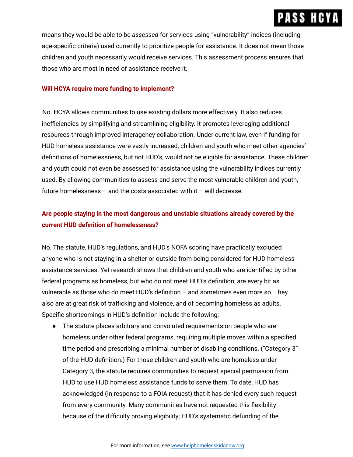## **PASS HCY**

means they would be able to be *assessed* for services using "vulnerability" indices (including age-specific criteria) used currently to prioritize people for assistance. It does not mean those children and youth necessarily would receive services. This assessment process ensures that those who are most in need of assistance receive it.

#### **Will HCYA require more funding to implement?**

No. HCYA allows communities to use existing dollars more effectively. It also reduces inefficiencies by simplifying and streamlining eligibility. It promotes leveraging additional resources through improved interagency collaboration. Under current law, even if funding for HUD homeless assistance were vastly increased, children and youth who meet other agencies' definitions of homelessness, but not HUD's, would not be eligible for assistance. These children and youth could not even be assessed for assistance using the vulnerability indices currently used. By allowing communities to assess and serve the most vulnerable children and youth, future homelessness  $-$  and the costs associated with it  $-$  will decrease.

## **Are people staying in the most dangerous and unstable situations already covered by the current HUD definition of homelessness?**

No. The statute, HUD's regulations, and HUD's NOFA scoring have practically excluded anyone who is not staying in a shelter or outside from being considered for HUD homeless assistance services. Yet research shows that children and youth who are identified by other federal programs as homeless, but who do not meet HUD's definition, are every bit as vulnerable as those who do meet HUD's definition – and sometimes even more so. They also are at great risk of trafficking and violence, and of becoming homeless as adults. Specific shortcomings in HUD's definition include the following:

● The statute places arbitrary and convoluted requirements on people who are homeless under other federal programs, requiring multiple moves within a specified time period and prescribing a minimal number of disabling conditions. ("Category 3" of the HUD definition.) For those children and youth who are homeless under Category 3, the statute requires communities to request special permission from HUD to use HUD homeless assistance funds to serve them. To date, HUD has acknowledged (in response to a FOIA request) that it has denied every such request from every community. Many communities have not requested this flexibility because of the difficulty proving eligibility; HUD's systematic defunding of the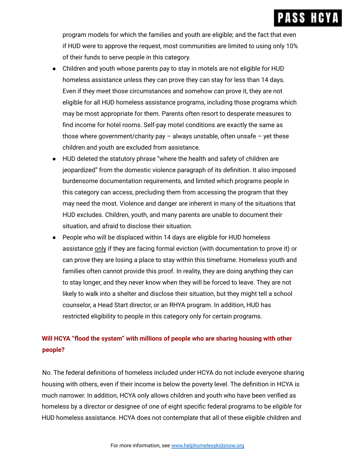program models for which the families and youth are eligible; and the fact that even if HUD were to approve the request, most communities are limited to using only 10% of their funds to serve people in this category.

- Children and youth whose parents pay to stay in motels are not eligible for HUD homeless assistance unless they can prove they can stay for less than 14 days. Even if they meet those circumstances and somehow can prove it, they are not eligible for all HUD homeless assistance programs, including those programs which may be most appropriate for them. Parents often resort to desperate measures to find income for hotel rooms. Self-pay motel conditions are exactly the same as those where government/charity pay  $-$  always unstable, often unsafe  $-$  yet these children and youth are excluded from assistance.
- HUD deleted the statutory phrase "where the health and safety of children are jeopardized" from the domestic violence paragraph of its definition. It also imposed burdensome documentation requirements, and limited which programs people in this category can access, precluding them from accessing the program that they may need the most. Violence and danger are inherent in many of the situations that HUD excludes. Children, youth, and many parents are unable to document their situation, and afraid to disclose their situation.
- People who will be displaced within 14 days are eligible for HUD homeless assistance only if they are facing formal eviction (with documentation to prove it) or can prove they are losing a place to stay within this timeframe. Homeless youth and families often cannot provide this proof. In reality, they are doing anything they can to stay longer, and they never know when they will be forced to leave. They are not likely to walk into a shelter and disclose their situation, but they might tell a school counselor, a Head Start director, or an RHYA program. In addition, HUD has restricted eligibility to people in this category only for certain programs.

## **Will HCYA "flood the system" with millions of people who are sharing housing with other people?**

No. The federal definitions of homeless included under HCYA do not include everyone sharing housing with others, even if their income is below the poverty level. The definition in HCYA is much narrower. In addition, HCYA only allows children and youth who have been verified as homeless by a director or designee of one of eight specific federal programs to be *eligible* for HUD homeless assistance. HCYA does not contemplate that all of these eligible children and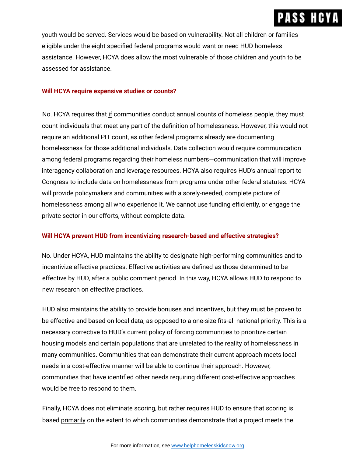## **PASS HCY**

youth would be served. Services would be based on vulnerability. Not all children or families eligible under the eight specified federal programs would want or need HUD homeless assistance. However, HCYA does allow the most vulnerable of those children and youth to be assessed for assistance.

#### **Will HCYA require expensive studies or counts?**

No. HCYA requires that if communities conduct annual counts of homeless people, they must count individuals that meet any part of the definition of homelessness. However, this would not require an additional PIT count, as other federal programs already are documenting homelessness for those additional individuals. Data collection would require communication among federal programs regarding their homeless numbers—communication that will improve interagency collaboration and leverage resources. HCYA also requires HUD's annual report to Congress to include data on homelessness from programs under other federal statutes. HCYA will provide policymakers and communities with a sorely-needed, complete picture of homelessness among all who experience it. We cannot use funding efficiently, or engage the private sector in our efforts, without complete data.

### **Will HCYA prevent HUD from incentivizing research-based and effective strategies?**

No. Under HCYA, HUD maintains the ability to designate high-performing communities and to incentivize effective practices. Effective activities are defined as those determined to be effective by HUD, after a public comment period. In this way, HCYA allows HUD to respond to new research on effective practices.

HUD also maintains the ability to provide bonuses and incentives, but they must be proven to be effective and based on local data, as opposed to a one-size fits-all national priority. This is a necessary corrective to HUD's current policy of forcing communities to prioritize certain housing models and certain populations that are unrelated to the reality of homelessness in many communities. Communities that can demonstrate their current approach meets local needs in a cost-effective manner will be able to continue their approach. However, communities that have identified other needs requiring different cost-effective approaches would be free to respond to them.

Finally, HCYA does not eliminate scoring, but rather requires HUD to ensure that scoring is based primarily on the extent to which communities demonstrate that a project meets the